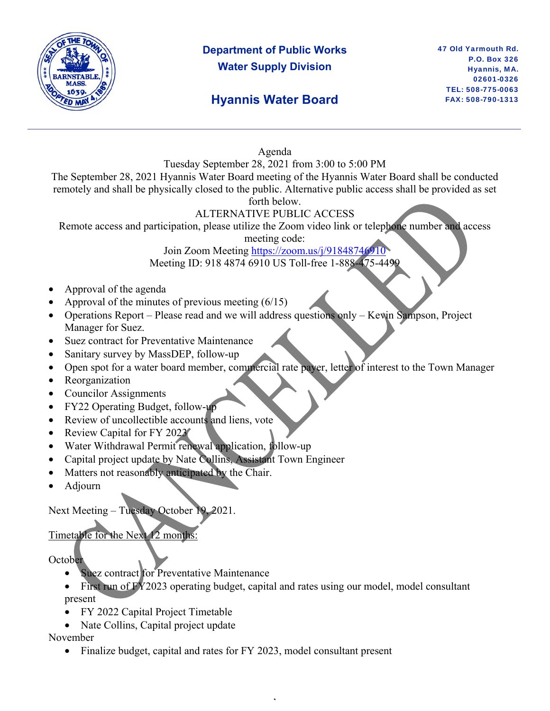

## **Department of Public Works Water Supply Division**

## **Hyannis Water Board**

47 Old Yarmouth Rd. P.O. Box 326 Hyannis, MA. 02601-0326 TEL: 508-775-0063 FAX: 508-790-1313

#### Agenda

Tuesday September 28, 2021 from 3:00 to 5:00 PM

The September 28, 2021 Hyannis Water Board meeting of the Hyannis Water Board shall be conducted remotely and shall be physically closed to the public. Alternative public access shall be provided as set forth below.

#### ALTERNATIVE PUBLIC ACCESS

Remote access and participation, please utilize the Zoom video link or telephone number and access

meeting code:

Join Zoom Meeting https://zoom.us/j/91848746910 Meeting ID: 918 4874 6910 US Toll-free 1-888-475-4499

- Approval of the agenda
- Approval of the minutes of previous meeting  $(6/15)$
- Operations Report Please read and we will address questions only Kevin Sampson, Project Manager for Suez.
- Suez contract for Preventative Maintenance
- Sanitary survey by MassDEP, follow-up
- Open spot for a water board member, commercial rate payer, letter of interest to the Town Manager
- Reorganization
- Councilor Assignments
- FY22 Operating Budget, follow-up
- Review of uncollectible accounts and liens, vote
- Review Capital for FY 2023
- Water Withdrawal Permit renewal application, follow-up
- Capital project update by Nate Collins, Assistant Town Engineer
- Matters not reasonably anticipated by the Chair.
- Adjourn

Next Meeting – Tuesday October 19, 2021.

### Timetable for the Next 12 months:

**October** 

- Suez contract for Preventative Maintenance
- First run of FY2023 operating budget, capital and rates using our model, model consultant present

,

- FY 2022 Capital Project Timetable
- Nate Collins, Capital project update

November

• Finalize budget, capital and rates for FY 2023, model consultant present